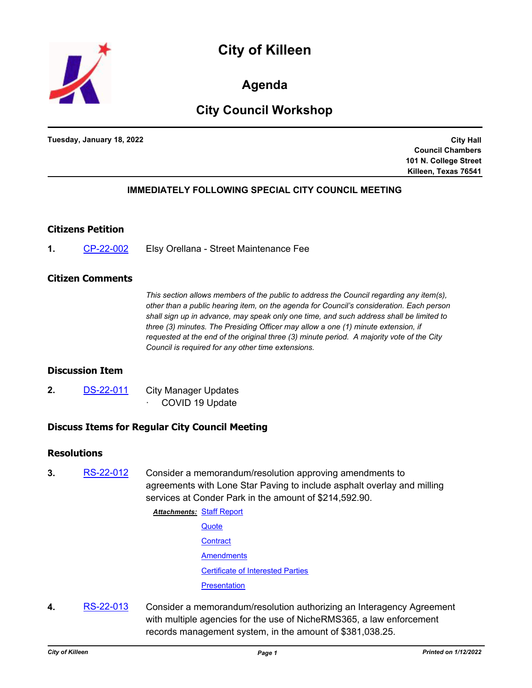



**Agenda**

# **City Council Workshop**

**Tuesday, January 18, 2022**

**City Hall Council Chambers 101 N. College Street Killeen, Texas 76541**

## **IMMEDIATELY FOLLOWING SPECIAL CITY COUNCIL MEETING**

### **Citizens Petition**

**1.** [CP-22-002](http://killeen.legistar.com/gateway.aspx?m=l&id=/matter.aspx?key=5932) Elsy Orellana - Street Maintenance Fee

#### **Citizen Comments**

*This section allows members of the public to address the Council regarding any item(s), other than a public hearing item, on the agenda for Council's consideration. Each person shall sign up in advance, may speak only one time, and such address shall be limited to three (3) minutes. The Presiding Officer may allow a one (1) minute extension, if requested at the end of the original three (3) minute period. A majority vote of the City Council is required for any other time extensions.*

## **Discussion Item**

**2.** [DS-22-011](http://killeen.legistar.com/gateway.aspx?m=l&id=/matter.aspx?key=5942) City Manager Updates COVID 19 Update

# **Discuss Items for Regular City Council Meeting**

#### **Resolutions**

- **3.** [RS-22-012](http://killeen.legistar.com/gateway.aspx?m=l&id=/matter.aspx?key=5864) Consider a memorandum/resolution approving amendments to agreements with Lone Star Paving to include asphalt overlay and milling services at Conder Park in the amount of \$214,592.90.
	- **Attachments: [Staff Report](http://killeen.legistar.com/gateway.aspx?M=F&ID=841e2ce1-e58f-4ba7-9703-12825e41a3fd.pdf)** 
		- **[Quote](http://killeen.legistar.com/gateway.aspx?M=F&ID=a2002f73-136c-4c50-9c93-932171310cd5.pdf) [Contract](http://killeen.legistar.com/gateway.aspx?M=F&ID=2584a9fe-11dd-45be-aca7-7fb02b87cae0.pdf) [Amendments](http://killeen.legistar.com/gateway.aspx?M=F&ID=678ac694-a801-46ca-9343-2e87dadc1fc6.pdf)** 
			- [Certificate of Interested Parties](http://killeen.legistar.com/gateway.aspx?M=F&ID=38326128-5b9f-4246-b862-ff6b67bb7571.pdf)
			- **[Presentation](http://killeen.legistar.com/gateway.aspx?M=F&ID=1e86dfd3-b9b3-4b24-864c-f04a38ebd174.pdf)**
- **4.** [RS-22-013](http://killeen.legistar.com/gateway.aspx?m=l&id=/matter.aspx?key=5886) Consider a memorandum/resolution authorizing an Interagency Agreement with multiple agencies for the use of NicheRMS365, a law enforcement records management system, in the amount of \$381,038.25.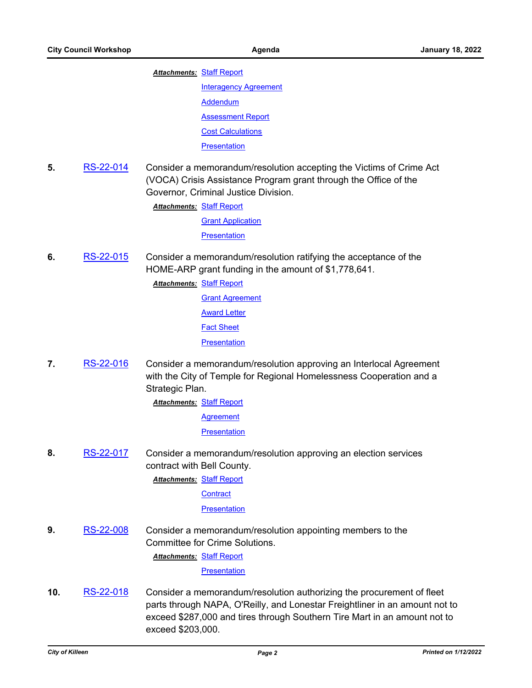#### **Attachments: [Staff Report](http://killeen.legistar.com/gateway.aspx?M=F&ID=f0a1ddc7-e63c-4626-9559-e19d0ad23cd8.pdf)**

[Interagency Agreement](http://killeen.legistar.com/gateway.aspx?M=F&ID=484ac46c-077d-423c-b2d9-cdde4cc0f47c.pdf) [Addendum](http://killeen.legistar.com/gateway.aspx?M=F&ID=5ca89100-26e7-4c41-a6ee-f1da45b29de9.pdf) [Assessment Report](http://killeen.legistar.com/gateway.aspx?M=F&ID=e1bc2d3d-801f-4d56-92d1-65028d040c41.pdf) [Cost Calculations](http://killeen.legistar.com/gateway.aspx?M=F&ID=4291bf10-5633-45f9-a488-2b5043e74be3.pdf) **[Presentation](http://killeen.legistar.com/gateway.aspx?M=F&ID=99f79c64-5e68-4719-a05f-b6b272970855.pdf)** 

**5.** [RS-22-014](http://killeen.legistar.com/gateway.aspx?m=l&id=/matter.aspx?key=5911) Consider a memorandum/resolution accepting the Victims of Crime Act (VOCA) Crisis Assistance Program grant through the Office of the Governor, Criminal Justice Division.

**Attachments: [Staff Report](http://killeen.legistar.com/gateway.aspx?M=F&ID=ee7eaa24-2ef0-4728-b3da-688f612bfd93.pdf)** 

[Grant Application](http://killeen.legistar.com/gateway.aspx?M=F&ID=356baabd-e1e0-4a4f-820c-aae6d645bc2c.pdf)

**[Presentation](http://killeen.legistar.com/gateway.aspx?M=F&ID=fba4cd20-df24-42b7-9760-de75b5fb8efa.pdf)** 

- **6.** [RS-22-015](http://killeen.legistar.com/gateway.aspx?m=l&id=/matter.aspx?key=5917) Consider a memorandum/resolution ratifying the acceptance of the HOME-ARP grant funding in the amount of \$1,778,641.
	- **Attachments: [Staff Report](http://killeen.legistar.com/gateway.aspx?M=F&ID=685f5c43-8366-4b7a-9d60-9c910685e3cb.pdf)** [Grant Agreement](http://killeen.legistar.com/gateway.aspx?M=F&ID=92719744-0401-42b0-bb62-c8788a5b1c2c.pdf) **[Award Letter](http://killeen.legistar.com/gateway.aspx?M=F&ID=034c79cd-a3af-474b-9ffe-083de3c82e73.pdf)** [Fact Sheet](http://killeen.legistar.com/gateway.aspx?M=F&ID=696a9e60-9e8d-468e-a6ee-17bd80d11ff0.pdf) **[Presentation](http://killeen.legistar.com/gateway.aspx?M=F&ID=1b583e94-e5ee-4142-92c3-516343dfa624.pdf)**
- **7.** [RS-22-016](http://killeen.legistar.com/gateway.aspx?m=l&id=/matter.aspx?key=5905) Consider a memorandum/resolution approving an Interlocal Agreement with the City of Temple for Regional Homelessness Cooperation and a Strategic Plan.

**Attachments: [Staff Report](http://killeen.legistar.com/gateway.aspx?M=F&ID=daf7bc81-72d9-4bd2-bd91-b84107c347a0.pdf)** 

[Agreement](http://killeen.legistar.com/gateway.aspx?M=F&ID=d92d209a-7854-4d54-9555-601303dae726.pdf)

**[Presentation](http://killeen.legistar.com/gateway.aspx?M=F&ID=2ebfa02d-66c1-4aba-8ce3-1acda16217c5.pdf)** 

**8.** [RS-22-017](http://killeen.legistar.com/gateway.aspx?m=l&id=/matter.aspx?key=5918) Consider a memorandum/resolution approving an election services contract with Bell County.

**Attachments: [Staff Report](http://killeen.legistar.com/gateway.aspx?M=F&ID=7eb62be5-7836-4cc1-8951-7795391af024.pdf)** 

**[Contract](http://killeen.legistar.com/gateway.aspx?M=F&ID=efd22168-7a46-41b8-9d99-c9a0fd7b9e86.pdf)** 

**[Presentation](http://killeen.legistar.com/gateway.aspx?M=F&ID=8a81a286-5e0c-4069-8dee-efca58a28523.pdf)** 

**9.** [RS-22-008](http://killeen.legistar.com/gateway.aspx?m=l&id=/matter.aspx?key=5913) Consider a memorandum/resolution appointing members to the Committee for Crime Solutions.

[Staff Report](http://killeen.legistar.com/gateway.aspx?M=F&ID=d659af34-7cc8-4551-9994-188c090c4dcd.pdf) *Attachments:*

**[Presentation](http://killeen.legistar.com/gateway.aspx?M=F&ID=c1d15340-a020-4425-ae02-78d82397485f.pdf)** 

**10.** [RS-22-018](http://killeen.legistar.com/gateway.aspx?m=l&id=/matter.aspx?key=5912) Consider a memorandum/resolution authorizing the procurement of fleet parts through NAPA, O'Reilly, and Lonestar Freightliner in an amount not to exceed \$287,000 and tires through Southern Tire Mart in an amount not to exceed \$203,000.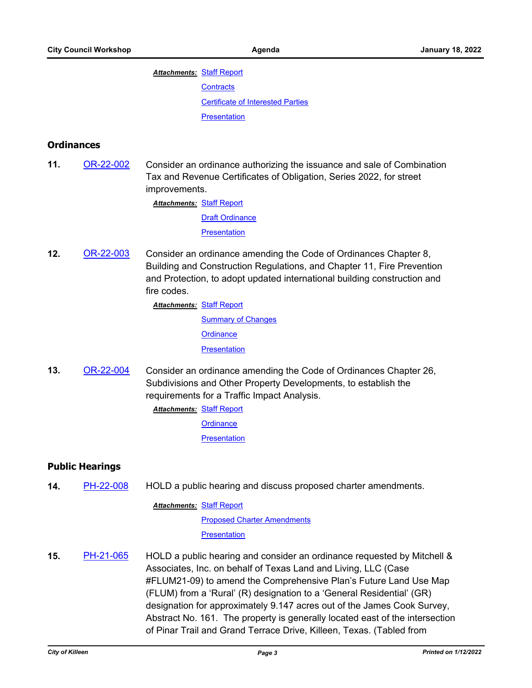# **Attachments: [Staff Report](http://killeen.legistar.com/gateway.aspx?M=F&ID=e19ac678-da17-4a89-a2ef-b4ff39623925.pdf) [Contracts](http://killeen.legistar.com/gateway.aspx?M=F&ID=99abf404-7704-4a20-8735-6d740c7076ad.pdf)** [Certificate of Interested Parties](http://killeen.legistar.com/gateway.aspx?M=F&ID=9ec64fdb-2dc4-4e39-a135-2acc048b90db.pdf) **[Presentation](http://killeen.legistar.com/gateway.aspx?M=F&ID=f8fa5d62-958a-4630-b584-eb3a9acf19fb.pdf)**

### **Ordinances**

**11.** [OR-22-002](http://killeen.legistar.com/gateway.aspx?m=l&id=/matter.aspx?key=5906) Consider an ordinance authorizing the issuance and sale of Combination Tax and Revenue Certificates of Obligation, Series 2022, for street improvements.

**Attachments: [Staff Report](http://killeen.legistar.com/gateway.aspx?M=F&ID=10013152-d5c5-4e73-9e7b-9445cd579e55.pdf)** 

[Draft Ordinance](http://killeen.legistar.com/gateway.aspx?M=F&ID=1505c8cb-471b-4d3d-80b0-7e8c78be76cb.pdf)

**[Presentation](http://killeen.legistar.com/gateway.aspx?M=F&ID=bf670506-9897-4f77-b20e-b5b4fcf96594.pdf)** 

**12.** [OR-22-003](http://killeen.legistar.com/gateway.aspx?m=l&id=/matter.aspx?key=5872) Consider an ordinance amending the Code of Ordinances Chapter 8, Building and Construction Regulations, and Chapter 11, Fire Prevention and Protection, to adopt updated international building construction and fire codes.

**Attachments: [Staff Report](http://killeen.legistar.com/gateway.aspx?M=F&ID=b4bf530c-a21d-43a8-bdca-49e9ea36f0e4.pdf)** 

**[Summary of Changes](http://killeen.legistar.com/gateway.aspx?M=F&ID=d54242e4-6dbe-4456-baf0-bf03892bdcdb.pdf) [Ordinance](http://killeen.legistar.com/gateway.aspx?M=F&ID=6b5b0cb8-1512-4775-9495-b1a3bc8ee146.pdf) [Presentation](http://killeen.legistar.com/gateway.aspx?M=F&ID=7fada7e2-af37-492b-a215-385ef27550ea.pdf)** 

**13.** [OR-22-004](http://killeen.legistar.com/gateway.aspx?m=l&id=/matter.aspx?key=5928) Consider an ordinance amending the Code of Ordinances Chapter 26, Subdivisions and Other Property Developments, to establish the requirements for a Traffic Impact Analysis.

> [Staff Report](http://killeen.legistar.com/gateway.aspx?M=F&ID=61eeea71-d4aa-4db7-b6f3-0248ef949408.pdf) *Attachments:* **[Ordinance](http://killeen.legistar.com/gateway.aspx?M=F&ID=927a431e-3af0-4c65-bd65-33053202c54c.pdf) [Presentation](http://killeen.legistar.com/gateway.aspx?M=F&ID=18556fcc-76a3-4e77-9dc6-cdeeab0d3c0d.pdf)**

### **Public Hearings**

**14.** [PH-22-008](http://killeen.legistar.com/gateway.aspx?m=l&id=/matter.aspx?key=5922) HOLD a public hearing and discuss proposed charter amendments.

**Attachments: [Staff Report](http://killeen.legistar.com/gateway.aspx?M=F&ID=e357ec66-a986-40cb-a322-4eb486dd3802.pdf)** 

[Proposed Charter Amendments](http://killeen.legistar.com/gateway.aspx?M=F&ID=ea13c081-0992-4944-bcf3-8f70f243e429.pdf)

**[Presentation](http://killeen.legistar.com/gateway.aspx?M=F&ID=7831991d-533f-477d-9eac-ce5ba196b1d0.pdf)** 

**15.** [PH-21-065](http://killeen.legistar.com/gateway.aspx?m=l&id=/matter.aspx?key=5790) HOLD a public hearing and consider an ordinance requested by Mitchell & Associates, Inc. on behalf of Texas Land and Living, LLC (Case #FLUM21-09) to amend the Comprehensive Plan's Future Land Use Map (FLUM) from a 'Rural' (R) designation to a 'General Residential' (GR) designation for approximately 9.147 acres out of the James Cook Survey, Abstract No. 161. The property is generally located east of the intersection of Pinar Trail and Grand Terrace Drive, Killeen, Texas. (Tabled from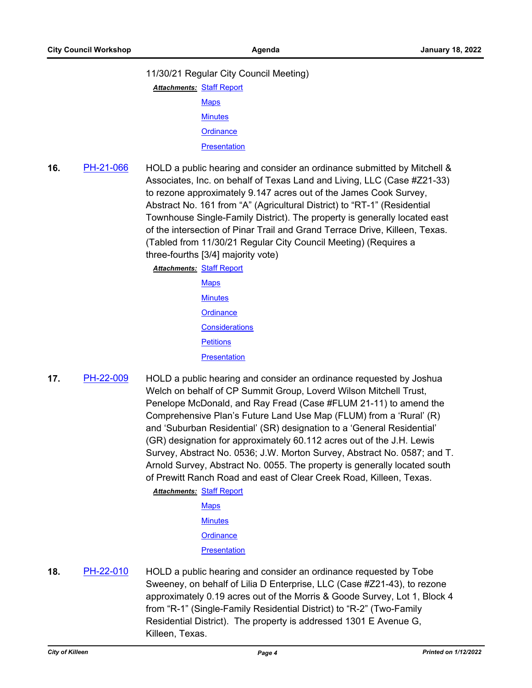#### 11/30/21 Regular City Council Meeting)

- **Attachments: [Staff Report](http://killeen.legistar.com/gateway.aspx?M=F&ID=e1793750-bddb-4ee8-b399-9b99e16a6603.pdf)** 
	- **[Maps](http://killeen.legistar.com/gateway.aspx?M=F&ID=2d75521c-0609-4738-b155-792a5ad30590.pdf) [Minutes](http://killeen.legistar.com/gateway.aspx?M=F&ID=2f912324-00a9-40f4-8e04-245d8b6c08dc.pdf)**
	- **[Ordinance](http://killeen.legistar.com/gateway.aspx?M=F&ID=0b8b2c8d-6114-46b3-b1df-f97382588c16.pdf)**
	- **[Presentation](http://killeen.legistar.com/gateway.aspx?M=F&ID=ba40410f-9283-4979-b77e-e9445747e21e.pdf)**

## **16.** [PH-21-066](http://killeen.legistar.com/gateway.aspx?m=l&id=/matter.aspx?key=5643) HOLD a public hearing and consider an ordinance submitted by Mitchell & Associates, Inc. on behalf of Texas Land and Living, LLC (Case #Z21-33) to rezone approximately 9.147 acres out of the James Cook Survey, Abstract No. 161 from "A" (Agricultural District) to "RT-1" (Residential Townhouse Single-Family District). The property is generally located east of the intersection of Pinar Trail and Grand Terrace Drive, Killeen, Texas. (Tabled from 11/30/21 Regular City Council Meeting) (Requires a three-fourths [3/4] majority vote)

[Staff Report](http://killeen.legistar.com/gateway.aspx?M=F&ID=1fda0dea-d313-4cc3-ad5b-0cd3c9193342.pdf) *Attachments:*

- **[Maps](http://killeen.legistar.com/gateway.aspx?M=F&ID=f020ac74-7cc3-419b-9eda-0ffbde6d4069.pdf) [Minutes](http://killeen.legistar.com/gateway.aspx?M=F&ID=3f222ef9-cbae-4408-ab99-cab90090358c.pdf) [Ordinance](http://killeen.legistar.com/gateway.aspx?M=F&ID=de884beb-bf36-4dec-89bd-63b655004f6a.pdf) [Considerations](http://killeen.legistar.com/gateway.aspx?M=F&ID=5317e430-b2f2-4b1c-8b9b-79f5d4178347.pdf) [Petitions](http://killeen.legistar.com/gateway.aspx?M=F&ID=bbd316c6-7f5f-4b09-80ca-2c37d5f8c28d.pdf) [Presentation](http://killeen.legistar.com/gateway.aspx?M=F&ID=940bc422-e285-4290-8524-d9a60e5b52d3.pdf)**
- **17.** [PH-22-009](http://killeen.legistar.com/gateway.aspx?m=l&id=/matter.aspx?key=5874) HOLD a public hearing and consider an ordinance requested by Joshua Welch on behalf of CP Summit Group, Loverd Wilson Mitchell Trust, Penelope McDonald, and Ray Fread (Case #FLUM 21-11) to amend the Comprehensive Plan's Future Land Use Map (FLUM) from a 'Rural' (R) and 'Suburban Residential' (SR) designation to a 'General Residential' (GR) designation for approximately 60.112 acres out of the J.H. Lewis Survey, Abstract No. 0536; J.W. Morton Survey, Abstract No. 0587; and T. Arnold Survey, Abstract No. 0055. The property is generally located south of Prewitt Ranch Road and east of Clear Creek Road, Killeen, Texas.

**Attachments: [Staff Report](http://killeen.legistar.com/gateway.aspx?M=F&ID=f69de045-808d-475e-a7fe-1ae4cec825ad.pdf) [Maps](http://killeen.legistar.com/gateway.aspx?M=F&ID=dabc7186-7cfa-45ed-96a9-dc2b80f2ce86.pdf) [Minutes](http://killeen.legistar.com/gateway.aspx?M=F&ID=719bd90e-0992-4ca1-933f-cf2c08e4eef3.pdf) [Ordinance](http://killeen.legistar.com/gateway.aspx?M=F&ID=d433c8bc-3eaa-4ff3-a0ec-084524dfbef8.pdf) [Presentation](http://killeen.legistar.com/gateway.aspx?M=F&ID=ab41c7b1-0f47-484a-b982-60c757aab9a8.pdf)** 

**18.** [PH-22-010](http://killeen.legistar.com/gateway.aspx?m=l&id=/matter.aspx?key=5884) HOLD a public hearing and consider an ordinance requested by Tobe Sweeney, on behalf of Lilia D Enterprise, LLC (Case #Z21-43), to rezone approximately 0.19 acres out of the Morris & Goode Survey, Lot 1, Block 4 from "R-1" (Single-Family Residential District) to "R-2" (Two-Family Residential District). The property is addressed 1301 E Avenue G, Killeen, Texas.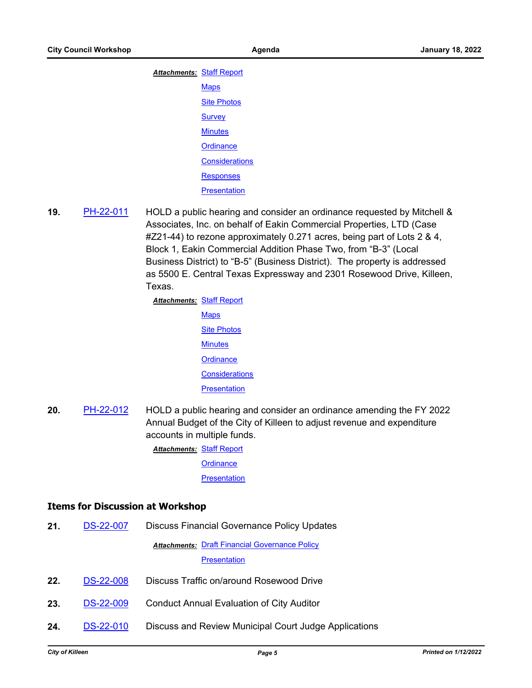| <b>Attachments: Staff Report</b> |                       |
|----------------------------------|-----------------------|
|                                  | <b>Maps</b>           |
|                                  | <b>Site Photos</b>    |
|                                  | <b>Survey</b>         |
|                                  | <b>Minutes</b>        |
|                                  | Ordinance             |
|                                  | <b>Considerations</b> |
|                                  | <b>Responses</b>      |
|                                  | <b>Presentation</b>   |

**19.** [PH-22-011](http://killeen.legistar.com/gateway.aspx?m=l&id=/matter.aspx?key=5885) HOLD a public hearing and consider an ordinance requested by Mitchell & Associates, Inc. on behalf of Eakin Commercial Properties, LTD (Case #Z21-44) to rezone approximately 0.271 acres, being part of Lots 2 & 4, Block 1, Eakin Commercial Addition Phase Two, from "B-3" (Local Business District) to "B-5" (Business District). The property is addressed as 5500 E. Central Texas Expressway and 2301 Rosewood Drive, Killeen, Texas.

> **Attachments: [Staff Report](http://killeen.legistar.com/gateway.aspx?M=F&ID=85b5021e-0b1b-4666-a5ac-3ef313bb7ce9.pdf) [Maps](http://killeen.legistar.com/gateway.aspx?M=F&ID=83f39c60-abf7-48cc-9cd1-75d2b96b7157.pdf) [Site Photos](http://killeen.legistar.com/gateway.aspx?M=F&ID=79821813-5c08-4192-99d7-df3fd27ff017.pdf) [Minutes](http://killeen.legistar.com/gateway.aspx?M=F&ID=663bfb30-6179-40a5-9e71-01ddb9ea8e9f.pdf) [Ordinance](http://killeen.legistar.com/gateway.aspx?M=F&ID=2b9ef719-f40a-426e-9e59-023884394af9.pdf) [Considerations](http://killeen.legistar.com/gateway.aspx?M=F&ID=37769e21-cf8a-46f7-8dac-7e22d49866ac.pdf) [Presentation](http://killeen.legistar.com/gateway.aspx?M=F&ID=b2630d62-e913-43f2-a7e8-2af2dafe48aa.pdf)**

**20.** [PH-22-012](http://killeen.legistar.com/gateway.aspx?m=l&id=/matter.aspx?key=5920) HOLD a public hearing and consider an ordinance amending the FY 2022 Annual Budget of the City of Killeen to adjust revenue and expenditure accounts in multiple funds.

**Attachments: [Staff Report](http://killeen.legistar.com/gateway.aspx?M=F&ID=0b29faf1-b3e3-4de6-89ae-aaf0b748871f.pdf)** 

**[Ordinance](http://killeen.legistar.com/gateway.aspx?M=F&ID=da20c8ae-e255-4592-b82a-4f2830b3be60.pdf)** 

**[Presentation](http://killeen.legistar.com/gateway.aspx?M=F&ID=da2ee473-a92b-4ec2-a84d-498c233e711c.pdf)** 

#### **Items for Discussion at Workshop**

**21.** [DS-22-007](http://killeen.legistar.com/gateway.aspx?m=l&id=/matter.aspx?key=5899) Discuss Financial Governance Policy Updates

**Attachments: [Draft Financial Governance Policy](http://killeen.legistar.com/gateway.aspx?M=F&ID=25624083-7192-4a93-826e-1e3f44bc3ee7.pdf) [Presentation](http://killeen.legistar.com/gateway.aspx?M=F&ID=6084f57c-f971-41fd-8260-87fc8821915c.pdf)** 

- 22. [DS-22-008](http://killeen.legistar.com/gateway.aspx?m=l&id=/matter.aspx?key=5891) Discuss Traffic on/around Rosewood Drive
- **23.** [DS-22-009](http://killeen.legistar.com/gateway.aspx?m=l&id=/matter.aspx?key=5901) Conduct Annual Evaluation of City Auditor
- **24.** [DS-22-010](http://killeen.legistar.com/gateway.aspx?m=l&id=/matter.aspx?key=5925) Discuss and Review Municipal Court Judge Applications